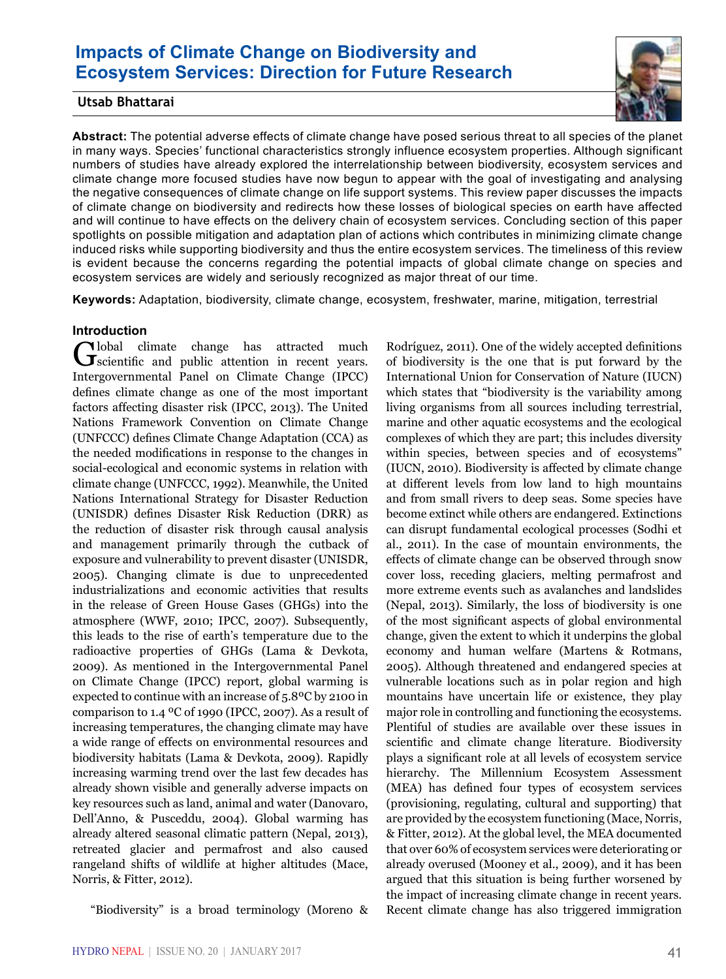# **Impacts of Climate Change on Biodiversity and Ecosystem Services: Direction for Future Research**



## **Utsab Bhattarai**

**Abstract:** The potential adverse effects of climate change have posed serious threat to all species of the planet in many ways. Species' functional characteristics strongly influence ecosystem properties. Although significant numbers of studies have already explored the interrelationship between biodiversity, ecosystem services and climate change more focused studies have now begun to appear with the goal of investigating and analysing the negative consequences of climate change on life support systems. This review paper discusses the impacts of climate change on biodiversity and redirects how these losses of biological species on earth have affected and will continue to have effects on the delivery chain of ecosystem services. Concluding section of this paper spotlights on possible mitigation and adaptation plan of actions which contributes in minimizing climate change induced risks while supporting biodiversity and thus the entire ecosystem services. The timeliness of this review is evident because the concerns regarding the potential impacts of global climate change on species and ecosystem services are widely and seriously recognized as major threat of our time.

**Keywords:** Adaptation, biodiversity, climate change, ecosystem, freshwater, marine, mitigation, terrestrial

#### **Introduction**

Global climate change has attracted much scientific and public attention in recent years. Intergovernmental Panel on Climate Change (IPCC) defines climate change as one of the most important factors affecting disaster risk (IPCC, 2013). The United Nations Framework Convention on Climate Change (UNFCCC) defines Climate Change Adaptation (CCA) as the needed modifications in response to the changes in social-ecological and economic systems in relation with climate change (UNFCCC, 1992). Meanwhile, the United Nations International Strategy for Disaster Reduction (UNISDR) defines Disaster Risk Reduction (DRR) as the reduction of disaster risk through causal analysis and management primarily through the cutback of exposure and vulnerability to prevent disaster (UNISDR, 2005). Changing climate is due to unprecedented industrializations and economic activities that results in the release of Green House Gases (GHGs) into the atmosphere (WWF, 2010; IPCC, 2007). Subsequently, this leads to the rise of earth's temperature due to the radioactive properties of GHGs (Lama & Devkota, 2009). As mentioned in the Intergovernmental Panel on Climate Change (IPCC) report, global warming is expected to continue with an increase of 5.8ºC by 2100 in comparison to 1.4 ºC of 1990 (IPCC, 2007). As a result of increasing temperatures, the changing climate may have a wide range of effects on environmental resources and biodiversity habitats (Lama & Devkota, 2009). Rapidly increasing warming trend over the last few decades has already shown visible and generally adverse impacts on key resources such as land, animal and water (Danovaro, Dell'Anno, & Pusceddu, 2004). Global warming has already altered seasonal climatic pattern (Nepal, 2013), retreated glacier and permafrost and also caused rangeland shifts of wildlife at higher altitudes (Mace, Norris, & Fitter, 2012).

"Biodiversity" is a broad terminology (Moreno &

Rodríguez, 2011). One of the widely accepted definitions of biodiversity is the one that is put forward by the International Union for Conservation of Nature (IUCN) which states that "biodiversity is the variability among living organisms from all sources including terrestrial, marine and other aquatic ecosystems and the ecological complexes of which they are part; this includes diversity within species, between species and of ecosystems" (IUCN, 2010). Biodiversity is affected by climate change at different levels from low land to high mountains and from small rivers to deep seas. Some species have become extinct while others are endangered. Extinctions can disrupt fundamental ecological processes (Sodhi et al., 2011). In the case of mountain environments, the effects of climate change can be observed through snow cover loss, receding glaciers, melting permafrost and more extreme events such as avalanches and landslides (Nepal, 2013). Similarly, the loss of biodiversity is one of the most significant aspects of global environmental change, given the extent to which it underpins the global economy and human welfare (Martens & Rotmans, 2005). Although threatened and endangered species at vulnerable locations such as in polar region and high mountains have uncertain life or existence, they play major role in controlling and functioning the ecosystems. Plentiful of studies are available over these issues in scientific and climate change literature. Biodiversity plays a significant role at all levels of ecosystem service hierarchy. The Millennium Ecosystem Assessment (MEA) has defined four types of ecosystem services (provisioning, regulating, cultural and supporting) that are provided by the ecosystem functioning (Mace, Norris, & Fitter, 2012). At the global level, the MEA documented that over 60% of ecosystem services were deteriorating or already overused (Mooney et al., 2009), and it has been argued that this situation is being further worsened by the impact of increasing climate change in recent years. Recent climate change has also triggered immigration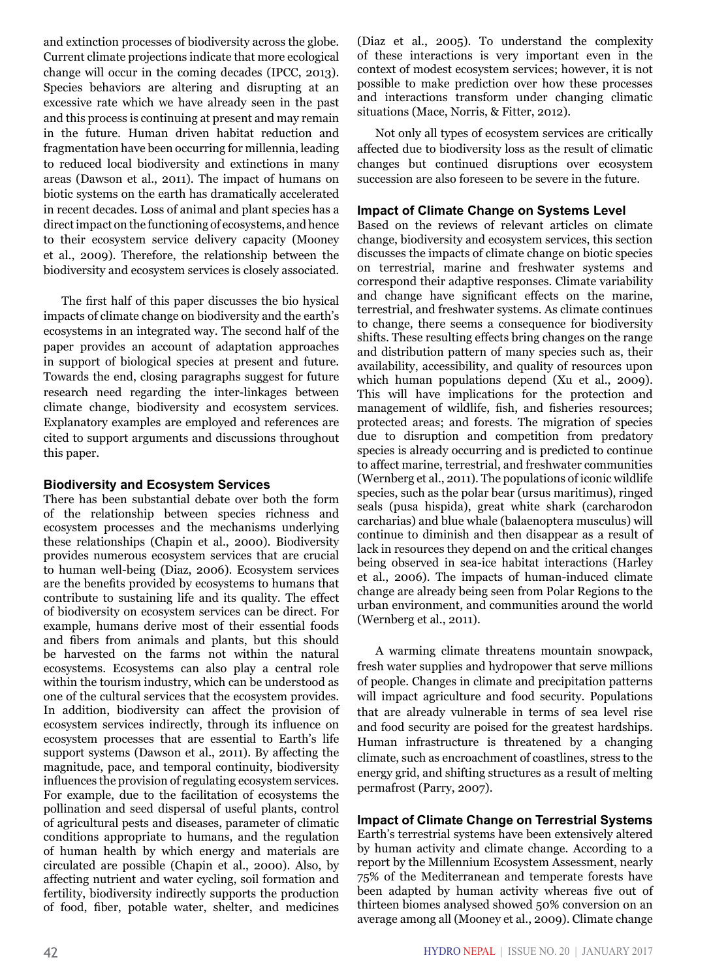and extinction processes of biodiversity across the globe. Current climate projections indicate that more ecological change will occur in the coming decades (IPCC, 2013). Species behaviors are altering and disrupting at an excessive rate which we have already seen in the past and this process is continuing at present and may remain in the future. Human driven habitat reduction and fragmentation have been occurring for millennia, leading to reduced local biodiversity and extinctions in many areas (Dawson et al., 2011). The impact of humans on biotic systems on the earth has dramatically accelerated in recent decades. Loss of animal and plant species has a direct impact on the functioning of ecosystems, and hence to their ecosystem service delivery capacity (Mooney et al., 2009). Therefore, the relationship between the biodiversity and ecosystem services is closely associated.

The first half of this paper discusses the bio hysical impacts of climate change on biodiversity and the earth's ecosystems in an integrated way. The second half of the paper provides an account of adaptation approaches in support of biological species at present and future. Towards the end, closing paragraphs suggest for future research need regarding the inter-linkages between climate change, biodiversity and ecosystem services. Explanatory examples are employed and references are cited to support arguments and discussions throughout this paper.

### **Biodiversity and Ecosystem Services**

There has been substantial debate over both the form of the relationship between species richness and ecosystem processes and the mechanisms underlying these relationships (Chapin et al., 2000). Biodiversity provides numerous ecosystem services that are crucial to human well-being (Diaz, 2006). Ecosystem services are the benefits provided by ecosystems to humans that contribute to sustaining life and its quality. The effect of biodiversity on ecosystem services can be direct. For example, humans derive most of their essential foods and fibers from animals and plants, but this should be harvested on the farms not within the natural ecosystems. Ecosystems can also play a central role within the tourism industry, which can be understood as one of the cultural services that the ecosystem provides. In addition, biodiversity can affect the provision of ecosystem services indirectly, through its influence on ecosystem processes that are essential to Earth's life support systems (Dawson et al., 2011). By affecting the magnitude, pace, and temporal continuity, biodiversity influences the provision of regulating ecosystem services. For example, due to the facilitation of ecosystems the pollination and seed dispersal of useful plants, control of agricultural pests and diseases, parameter of climatic conditions appropriate to humans, and the regulation of human health by which energy and materials are circulated are possible (Chapin et al., 2000). Also, by affecting nutrient and water cycling, soil formation and fertility, biodiversity indirectly supports the production of food, fiber, potable water, shelter, and medicines

(Diaz et al., 2005). To understand the complexity of these interactions is very important even in the context of modest ecosystem services; however, it is not possible to make prediction over how these processes and interactions transform under changing climatic situations (Mace, Norris, & Fitter, 2012).

Not only all types of ecosystem services are critically affected due to biodiversity loss as the result of climatic changes but continued disruptions over ecosystem succession are also foreseen to be severe in the future.

### **Impact of Climate Change on Systems Level**

Based on the reviews of relevant articles on climate change, biodiversity and ecosystem services, this section discusses the impacts of climate change on biotic species on terrestrial, marine and freshwater systems and correspond their adaptive responses. Climate variability and change have significant effects on the marine, terrestrial, and freshwater systems. As climate continues to change, there seems a consequence for biodiversity shifts. These resulting effects bring changes on the range and distribution pattern of many species such as, their availability, accessibility, and quality of resources upon which human populations depend (Xu et al., 2009). This will have implications for the protection and management of wildlife, fish, and fisheries resources; protected areas; and forests. The migration of species due to disruption and competition from predatory species is already occurring and is predicted to continue to affect marine, terrestrial, and freshwater communities (Wernberg et al., 2011). The populations of iconic wildlife species, such as the polar bear (ursus maritimus), ringed seals (pusa hispida), great white shark (carcharodon carcharias) and blue whale (balaenoptera musculus) will continue to diminish and then disappear as a result of lack in resources they depend on and the critical changes being observed in sea-ice habitat interactions (Harley et al., 2006). The impacts of human-induced climate change are already being seen from Polar Regions to the urban environment, and communities around the world (Wernberg et al., 2011).

A warming climate threatens mountain snowpack, fresh water supplies and hydropower that serve millions of people. Changes in climate and precipitation patterns will impact agriculture and food security. Populations that are already vulnerable in terms of sea level rise and food security are poised for the greatest hardships. Human infrastructure is threatened by a changing climate, such as encroachment of coastlines, stress to the energy grid, and shifting structures as a result of melting permafrost (Parry, 2007).

## **Impact of Climate Change on Terrestrial Systems**

Earth's terrestrial systems have been extensively altered by human activity and climate change. According to a report by the Millennium Ecosystem Assessment, nearly 75% of the Mediterranean and temperate forests have been adapted by human activity whereas five out of thirteen biomes analysed showed 50% conversion on an average among all (Mooney et al., 2009). Climate change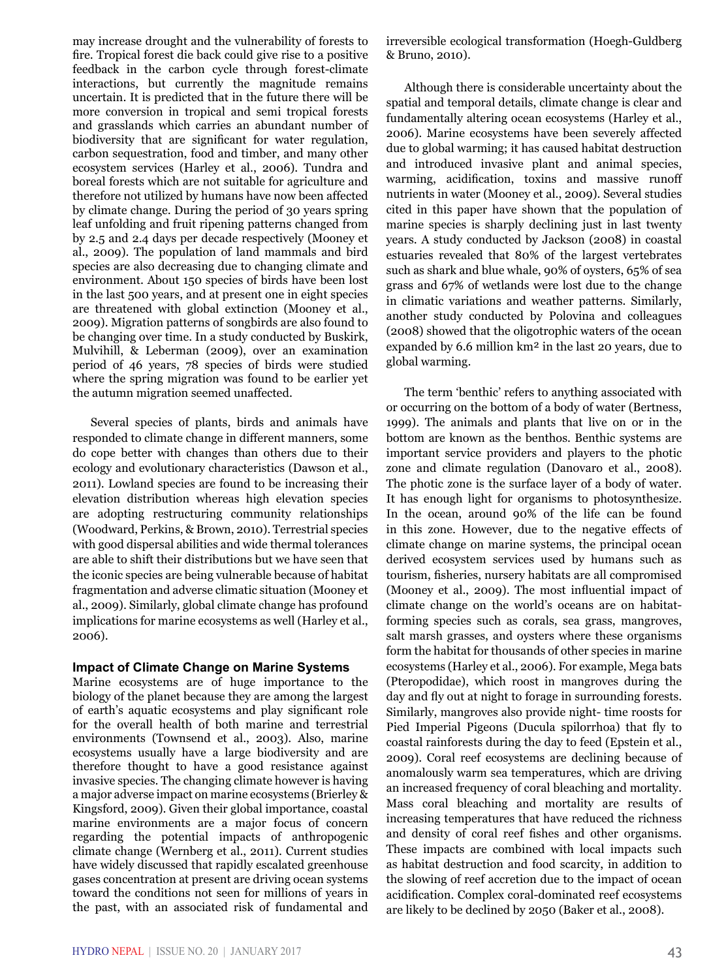may increase drought and the vulnerability of forests to fire. Tropical forest die back could give rise to a positive feedback in the carbon cycle through forest-climate interactions, but currently the magnitude remains uncertain. It is predicted that in the future there will be more conversion in tropical and semi tropical forests and grasslands which carries an abundant number of biodiversity that are significant for water regulation, carbon sequestration, food and timber, and many other ecosystem services (Harley et al., 2006). Tundra and boreal forests which are not suitable for agriculture and therefore not utilized by humans have now been affected by climate change. During the period of 30 years spring leaf unfolding and fruit ripening patterns changed from by 2.5 and 2.4 days per decade respectively (Mooney et al., 2009). The population of land mammals and bird species are also decreasing due to changing climate and environment. About 150 species of birds have been lost in the last 500 years, and at present one in eight species are threatened with global extinction (Mooney et al., 2009). Migration patterns of songbirds are also found to be changing over time. In a study conducted by Buskirk, Mulvihill, & Leberman (2009), over an examination period of 46 years, 78 species of birds were studied where the spring migration was found to be earlier yet the autumn migration seemed unaffected.

Several species of plants, birds and animals have responded to climate change in different manners, some do cope better with changes than others due to their ecology and evolutionary characteristics (Dawson et al., 2011). Lowland species are found to be increasing their elevation distribution whereas high elevation species are adopting restructuring community relationships (Woodward, Perkins, & Brown, 2010). Terrestrial species with good dispersal abilities and wide thermal tolerances are able to shift their distributions but we have seen that the iconic species are being vulnerable because of habitat fragmentation and adverse climatic situation (Mooney et al., 2009). Similarly, global climate change has profound implications for marine ecosystems as well (Harley et al., 2006).

#### **Impact of Climate Change on Marine Systems**

Marine ecosystems are of huge importance to the biology of the planet because they are among the largest of earth's aquatic ecosystems and play significant role for the overall health of both marine and terrestrial environments (Townsend et al., 2003). Also, marine ecosystems usually have a large biodiversity and are therefore thought to have a good resistance against invasive species. The changing climate however is having a major adverse impact on marine ecosystems (Brierley & Kingsford, 2009). Given their global importance, coastal marine environments are a major focus of concern regarding the potential impacts of anthropogenic climate change (Wernberg et al., 2011). Current studies have widely discussed that rapidly escalated greenhouse gases concentration at present are driving ocean systems toward the conditions not seen for millions of years in the past, with an associated risk of fundamental and irreversible ecological transformation (Hoegh-Guldberg & Bruno, 2010).

Although there is considerable uncertainty about the spatial and temporal details, climate change is clear and fundamentally altering ocean ecosystems (Harley et al., 2006). Marine ecosystems have been severely affected due to global warming; it has caused habitat destruction and introduced invasive plant and animal species, warming, acidification, toxins and massive runoff nutrients in water (Mooney et al., 2009). Several studies cited in this paper have shown that the population of marine species is sharply declining just in last twenty years. A study conducted by Jackson (2008) in coastal estuaries revealed that 80% of the largest vertebrates such as shark and blue whale, 90% of oysters, 65% of sea grass and 67% of wetlands were lost due to the change in climatic variations and weather patterns. Similarly, another study conducted by Polovina and colleagues (2008) showed that the oligotrophic waters of the ocean expanded by 6.6 million km² in the last 20 years, due to global warming.

The term 'benthic' refers to anything associated with or occurring on the bottom of a body of water (Bertness, 1999). The animals and plants that live on or in the bottom are known as the benthos. Benthic systems are important service providers and players to the photic zone and climate regulation (Danovaro et al., 2008). The photic zone is the surface layer of a body of water. It has enough light for organisms to photosynthesize. In the ocean, around 90% of the life can be found in this zone. However, due to the negative effects of climate change on marine systems, the principal ocean derived ecosystem services used by humans such as tourism, fisheries, nursery habitats are all compromised (Mooney et al., 2009). The most influential impact of climate change on the world's oceans are on habitatforming species such as corals, sea grass, mangroves, salt marsh grasses, and oysters where these organisms form the habitat for thousands of other species in marine ecosystems (Harley et al., 2006). For example, Mega bats (Pteropodidae), which roost in mangroves during the day and fly out at night to forage in surrounding forests. Similarly, mangroves also provide night- time roosts for Pied Imperial Pigeons (Ducula spilorrhoa) that fly to coastal rainforests during the day to feed (Epstein et al., 2009). Coral reef ecosystems are declining because of anomalously warm sea temperatures, which are driving an increased frequency of coral bleaching and mortality. Mass coral bleaching and mortality are results of increasing temperatures that have reduced the richness and density of coral reef fishes and other organisms. These impacts are combined with local impacts such as habitat destruction and food scarcity, in addition to the slowing of reef accretion due to the impact of ocean acidification. Complex coral-dominated reef ecosystems are likely to be declined by 2050 (Baker et al., 2008).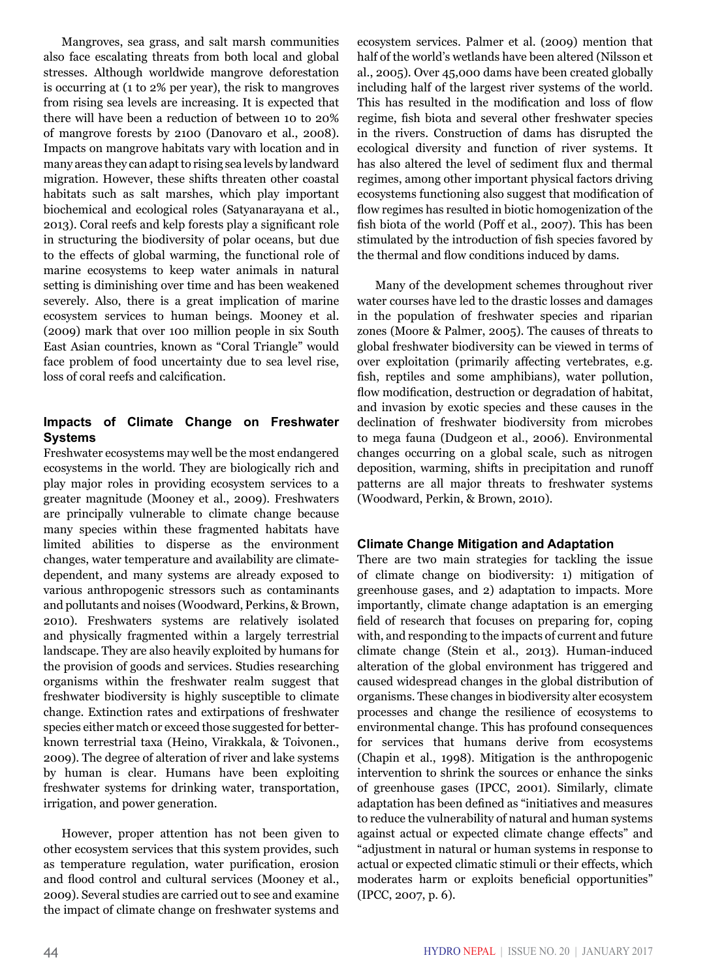Mangroves, sea grass, and salt marsh communities also face escalating threats from both local and global stresses. Although worldwide mangrove deforestation is occurring at (1 to 2% per year), the risk to mangroves from rising sea levels are increasing. It is expected that there will have been a reduction of between 10 to 20% of mangrove forests by 2100 (Danovaro et al., 2008). Impacts on mangrove habitats vary with location and in many areas they can adapt to rising sea levels by landward migration. However, these shifts threaten other coastal habitats such as salt marshes, which play important biochemical and ecological roles (Satyanarayana et al., 2013). Coral reefs and kelp forests play a significant role in structuring the biodiversity of polar oceans, but due to the effects of global warming, the functional role of marine ecosystems to keep water animals in natural setting is diminishing over time and has been weakened severely. Also, there is a great implication of marine ecosystem services to human beings. Mooney et al. (2009) mark that over 100 million people in six South East Asian countries, known as "Coral Triangle" would face problem of food uncertainty due to sea level rise, loss of coral reefs and calcification.

### **Impacts of Climate Change on Freshwater Systems**

Freshwater ecosystems may well be the most endangered ecosystems in the world. They are biologically rich and play major roles in providing ecosystem services to a greater magnitude (Mooney et al., 2009). Freshwaters are principally vulnerable to climate change because many species within these fragmented habitats have limited abilities to disperse as the environment changes, water temperature and availability are climatedependent, and many systems are already exposed to various anthropogenic stressors such as contaminants and pollutants and noises (Woodward, Perkins, & Brown, 2010). Freshwaters systems are relatively isolated and physically fragmented within a largely terrestrial landscape. They are also heavily exploited by humans for the provision of goods and services. Studies researching organisms within the freshwater realm suggest that freshwater biodiversity is highly susceptible to climate change. Extinction rates and extirpations of freshwater species either match or exceed those suggested for betterknown terrestrial taxa (Heino, Virakkala, & Toivonen., 2009). The degree of alteration of river and lake systems by human is clear. Humans have been exploiting freshwater systems for drinking water, transportation, irrigation, and power generation.

However, proper attention has not been given to other ecosystem services that this system provides, such as temperature regulation, water purification, erosion and flood control and cultural services (Mooney et al., 2009). Several studies are carried out to see and examine the impact of climate change on freshwater systems and ecosystem services. Palmer et al. (2009) mention that half of the world's wetlands have been altered (Nilsson et al., 2005). Over 45,000 dams have been created globally including half of the largest river systems of the world. This has resulted in the modification and loss of flow regime, fish biota and several other freshwater species in the rivers. Construction of dams has disrupted the ecological diversity and function of river systems. It has also altered the level of sediment flux and thermal regimes, among other important physical factors driving ecosystems functioning also suggest that modification of flow regimes has resulted in biotic homogenization of the fish biota of the world (Poff et al., 2007). This has been stimulated by the introduction of fish species favored by the thermal and flow conditions induced by dams.

Many of the development schemes throughout river water courses have led to the drastic losses and damages in the population of freshwater species and riparian zones (Moore & Palmer, 2005). The causes of threats to global freshwater biodiversity can be viewed in terms of over exploitation (primarily affecting vertebrates, e.g. fish, reptiles and some amphibians), water pollution, flow modification, destruction or degradation of habitat, and invasion by exotic species and these causes in the declination of freshwater biodiversity from microbes to mega fauna (Dudgeon et al., 2006). Environmental changes occurring on a global scale, such as nitrogen deposition, warming, shifts in precipitation and runoff patterns are all major threats to freshwater systems (Woodward, Perkin, & Brown, 2010).

## **Climate Change Mitigation and Adaptation**

There are two main strategies for tackling the issue of climate change on biodiversity: 1) mitigation of greenhouse gases, and 2) adaptation to impacts. More importantly, climate change adaptation is an emerging field of research that focuses on preparing for, coping with, and responding to the impacts of current and future climate change (Stein et al., 2013). Human-induced alteration of the global environment has triggered and caused widespread changes in the global distribution of organisms. These changes in biodiversity alter ecosystem processes and change the resilience of ecosystems to environmental change. This has profound consequences for services that humans derive from ecosystems (Chapin et al., 1998). Mitigation is the anthropogenic intervention to shrink the sources or enhance the sinks of greenhouse gases (IPCC, 2001). Similarly, climate adaptation has been defined as "initiatives and measures to reduce the vulnerability of natural and human systems against actual or expected climate change effects" and "adjustment in natural or human systems in response to actual or expected climatic stimuli or their effects, which moderates harm or exploits beneficial opportunities" (IPCC, 2007, p. 6).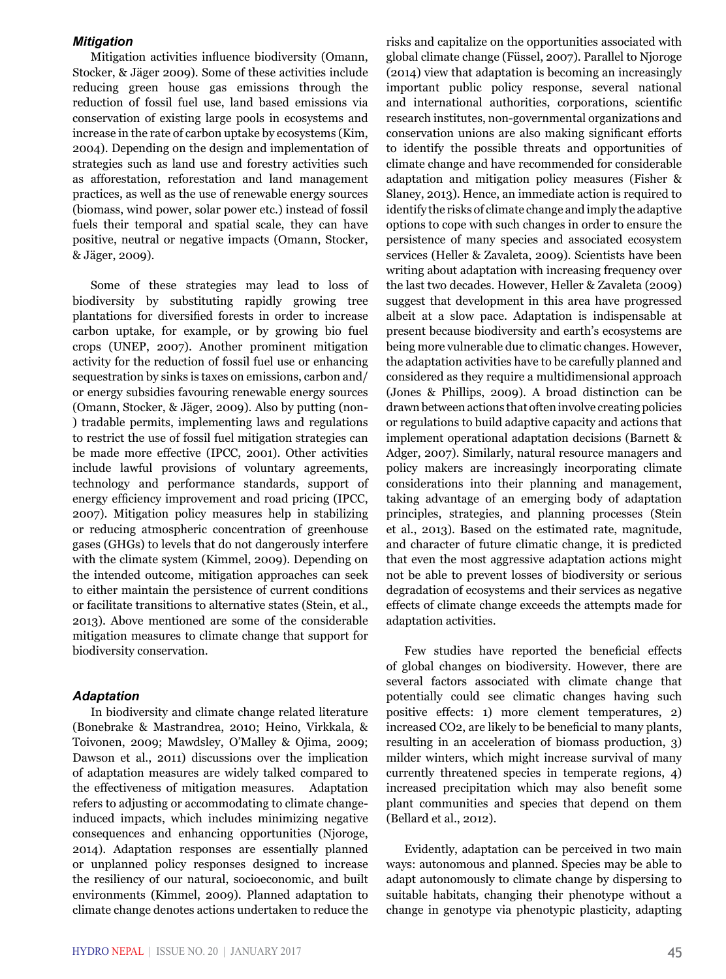#### *Mitigation*

Mitigation activities influence biodiversity (Omann, Stocker, & Jäger 2009). Some of these activities include reducing green house gas emissions through the reduction of fossil fuel use, land based emissions via conservation of existing large pools in ecosystems and increase in the rate of carbon uptake by ecosystems (Kim, 2004). Depending on the design and implementation of strategies such as land use and forestry activities such as afforestation, reforestation and land management practices, as well as the use of renewable energy sources (biomass, wind power, solar power etc.) instead of fossil fuels their temporal and spatial scale, they can have positive, neutral or negative impacts (Omann, Stocker, & Jäger, 2009).

Some of these strategies may lead to loss of biodiversity by substituting rapidly growing tree plantations for diversified forests in order to increase carbon uptake, for example, or by growing bio fuel crops (UNEP, 2007). Another prominent mitigation activity for the reduction of fossil fuel use or enhancing sequestration by sinks is taxes on emissions, carbon and/ or energy subsidies favouring renewable energy sources (Omann, Stocker, & Jäger, 2009). Also by putting (non- ) tradable permits, implementing laws and regulations to restrict the use of fossil fuel mitigation strategies can be made more effective (IPCC, 2001). Other activities include lawful provisions of voluntary agreements, technology and performance standards, support of energy efficiency improvement and road pricing (IPCC, 2007). Mitigation policy measures help in stabilizing or reducing atmospheric concentration of greenhouse gases (GHGs) to levels that do not dangerously interfere with the climate system (Kimmel, 2009). Depending on the intended outcome, mitigation approaches can seek to either maintain the persistence of current conditions or facilitate transitions to alternative states (Stein, et al., 2013). Above mentioned are some of the considerable mitigation measures to climate change that support for biodiversity conservation.

#### *Adaptation*

In biodiversity and climate change related literature (Bonebrake & Mastrandrea, 2010; Heino, Virkkala, & Toivonen, 2009; Mawdsley, O'Malley & Ojima, 2009; Dawson et al., 2011) discussions over the implication of adaptation measures are widely talked compared to the effectiveness of mitigation measures. Adaptation refers to adjusting or accommodating to climate changeinduced impacts, which includes minimizing negative consequences and enhancing opportunities (Njoroge, 2014). Adaptation responses are essentially planned or unplanned policy responses designed to increase the resiliency of our natural, socioeconomic, and built environments (Kimmel, 2009). Planned adaptation to climate change denotes actions undertaken to reduce the

risks and capitalize on the opportunities associated with global climate change (Füssel, 2007). Parallel to Njoroge (2014) view that adaptation is becoming an increasingly important public policy response, several national and international authorities, corporations, scientific research institutes, non-governmental organizations and conservation unions are also making significant efforts to identify the possible threats and opportunities of climate change and have recommended for considerable adaptation and mitigation policy measures (Fisher & Slaney, 2013). Hence, an immediate action is required to identify the risks of climate change and imply the adaptive options to cope with such changes in order to ensure the persistence of many species and associated ecosystem services (Heller & Zavaleta, 2009). Scientists have been writing about adaptation with increasing frequency over the last two decades. However, Heller & Zavaleta (2009) suggest that development in this area have progressed albeit at a slow pace. Adaptation is indispensable at present because biodiversity and earth's ecosystems are being more vulnerable due to climatic changes. However, the adaptation activities have to be carefully planned and considered as they require a multidimensional approach (Jones & Phillips, 2009). A broad distinction can be drawn between actions that often involve creating policies or regulations to build adaptive capacity and actions that implement operational adaptation decisions (Barnett & Adger, 2007). Similarly, natural resource managers and policy makers are increasingly incorporating climate considerations into their planning and management, taking advantage of an emerging body of adaptation principles, strategies, and planning processes (Stein et al., 2013). Based on the estimated rate, magnitude, and character of future climatic change, it is predicted that even the most aggressive adaptation actions might not be able to prevent losses of biodiversity or serious degradation of ecosystems and their services as negative effects of climate change exceeds the attempts made for adaptation activities.

Few studies have reported the beneficial effects of global changes on biodiversity. However, there are several factors associated with climate change that potentially could see climatic changes having such positive effects: 1) more clement temperatures, 2) increased CO2, are likely to be beneficial to many plants, resulting in an acceleration of biomass production, 3) milder winters, which might increase survival of many currently threatened species in temperate regions, 4) increased precipitation which may also benefit some plant communities and species that depend on them (Bellard et al., 2012).

Evidently, adaptation can be perceived in two main ways: autonomous and planned. Species may be able to adapt autonomously to climate change by dispersing to suitable habitats, changing their phenotype without a change in genotype via phenotypic plasticity, adapting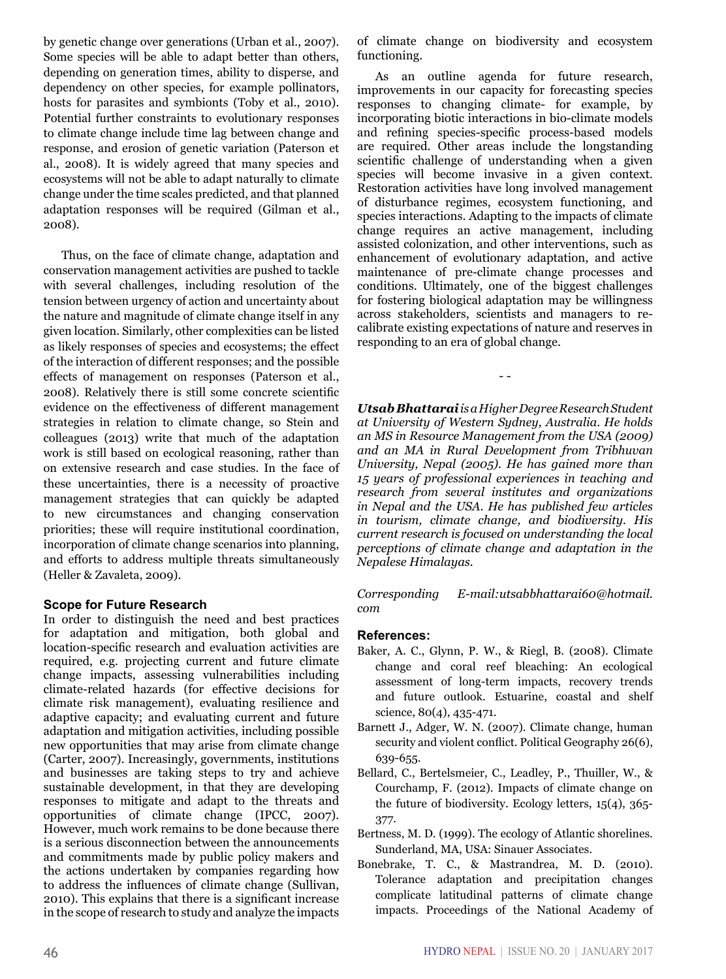by genetic change over generations (Urban et al., 2007). Some species will be able to adapt better than others, depending on generation times, ability to disperse, and dependency on other species, for example pollinators, hosts for parasites and symbionts (Toby et al., 2010). Potential further constraints to evolutionary responses to climate change include time lag between change and response, and erosion of genetic variation (Paterson et al., 2008). It is widely agreed that many species and ecosystems will not be able to adapt naturally to climate change under the time scales predicted, and that planned adaptation responses will be required (Gilman et al., 2008).

Thus, on the face of climate change, adaptation and conservation management activities are pushed to tackle with several challenges, including resolution of the tension between urgency of action and uncertainty about the nature and magnitude of climate change itself in any given location. Similarly, other complexities can be listed as likely responses of species and ecosystems; the effect of the interaction of different responses; and the possible effects of management on responses (Paterson et al., 2008). Relatively there is still some concrete scientific evidence on the effectiveness of different management strategies in relation to climate change, so Stein and colleagues (2013) write that much of the adaptation work is still based on ecological reasoning, rather than on extensive research and case studies. In the face of these uncertainties, there is a necessity of proactive management strategies that can quickly be adapted to new circumstances and changing conservation priorities; these will require institutional coordination, incorporation of climate change scenarios into planning, and efforts to address multiple threats simultaneously (Heller & Zavaleta, 2009).

#### **Scope for Future Research**

In order to distinguish the need and best practices for adaptation and mitigation, both global and location-specific research and evaluation activities are required, e.g. projecting current and future climate change impacts, assessing vulnerabilities including climate-related hazards (for effective decisions for climate risk management), evaluating resilience and adaptive capacity; and evaluating current and future adaptation and mitigation activities, including possible new opportunities that may arise from climate change (Carter, 2007). Increasingly, governments, institutions and businesses are taking steps to try and achieve sustainable development, in that they are developing responses to mitigate and adapt to the threats and opportunities of climate change (IPCC, 2007). However, much work remains to be done because there is a serious disconnection between the announcements and commitments made by public policy makers and the actions undertaken by companies regarding how to address the influences of climate change (Sullivan, 2010). This explains that there is a significant increase in the scope of research to study and analyze the impacts of climate change on biodiversity and ecosystem functioning.

As an outline agenda for future research, improvements in our capacity for forecasting species responses to changing climate- for example, by incorporating biotic interactions in bio-climate models and refining species-specific process-based models are required. Other areas include the longstanding scientific challenge of understanding when a given species will become invasive in a given context. Restoration activities have long involved management of disturbance regimes, ecosystem functioning, and species interactions. Adapting to the impacts of climate change requires an active management, including assisted colonization, and other interventions, such as enhancement of evolutionary adaptation, and active maintenance of pre-climate change processes and conditions. Ultimately, one of the biggest challenges for fostering biological adaptation may be willingness across stakeholders, scientists and managers to recalibrate existing expectations of nature and reserves in responding to an era of global change.

*Utsab Bhattarai is a Higher Degree Research Student at University of Western Sydney, Australia. He holds an MS in Resource Management from the USA (2009) and an MA in Rural Development from Tribhuvan University, Nepal (2005). He has gained more than 15 years of professional experiences in teaching and research from several institutes and organizations in Nepal and the USA. He has published few articles in tourism, climate change, and biodiversity. His current research is focused on understanding the local perceptions of climate change and adaptation in the Nepalese Himalayas.* 

- -

*Corresponding E-mail:utsabbhattarai60@hotmail. com*

#### **References:**

- Baker, A. C., Glynn, P. W., & Riegl, B. (2008). Climate change and coral reef bleaching: An ecological assessment of long-term impacts, recovery trends and future outlook. Estuarine, coastal and shelf science, 80(4), 435-471.
- Barnett J., Adger, W. N. (2007). Climate change, human security and violent conflict. Political Geography 26(6), 639-655.
- Bellard, C., Bertelsmeier, C., Leadley, P., Thuiller, W., & Courchamp, F. (2012). Impacts of climate change on the future of biodiversity. Ecology letters, 15(4), 365- 377.
- Bertness, M. D. (1999). The ecology of Atlantic shorelines. Sunderland, MA, USA: Sinauer Associates.
- Bonebrake, T. C., & Mastrandrea, M. D. (2010). Tolerance adaptation and precipitation changes complicate latitudinal patterns of climate change impacts. Proceedings of the National Academy of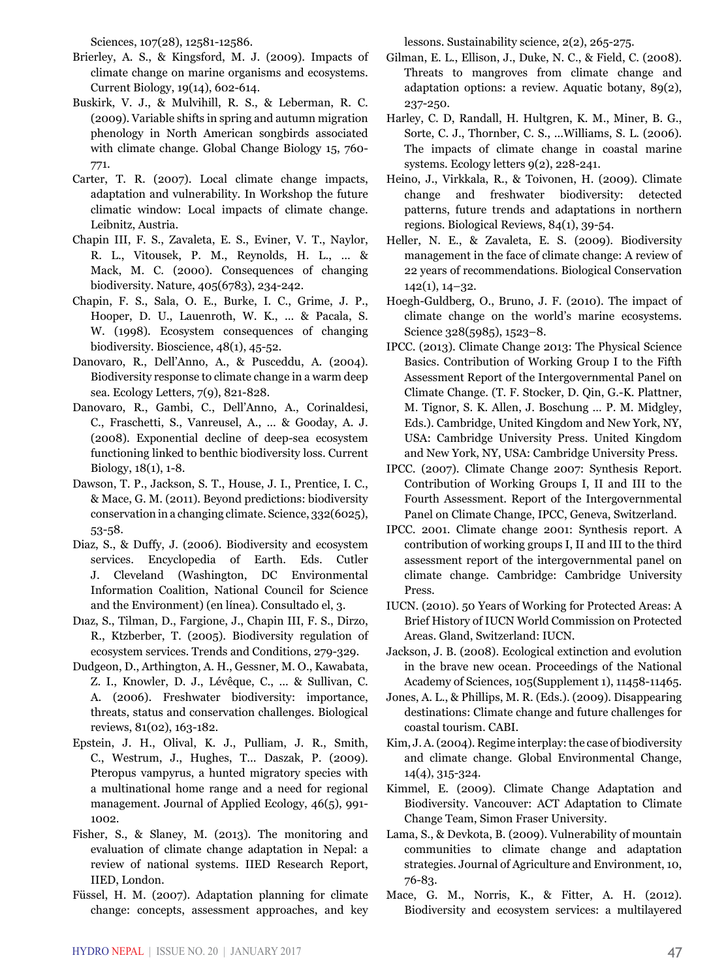Sciences, 107(28), 12581-12586.

- Brierley, A. S., & Kingsford, M. J. (2009). Impacts of climate change on marine organisms and ecosystems. Current Biology, 19(14), 602-614.
- Buskirk, V. J., & Mulvihill, R. S., & Leberman, R. C. (2009). Variable shifts in spring and autumn migration phenology in North American songbirds associated with climate change. Global Change Biology 15, 760- 771.
- Carter, T. R. (2007). Local climate change impacts, adaptation and vulnerability. In Workshop the future climatic window: Local impacts of climate change. Leibnitz, Austria.
- Chapin III, F. S., Zavaleta, E. S., Eviner, V. T., Naylor, R. L., Vitousek, P. M., Reynolds, H. L., ... & Mack, M. C. (2000). Consequences of changing biodiversity. Nature, 405(6783), 234-242.
- Chapin, F. S., Sala, O. E., Burke, I. C., Grime, J. P., Hooper, D. U., Lauenroth, W. K., ... & Pacala, S. W. (1998). Ecosystem consequences of changing biodiversity. Bioscience, 48(1), 45-52.
- Danovaro, R., Dell'Anno, A., & Pusceddu, A. (2004). Biodiversity response to climate change in a warm deep sea. Ecology Letters, 7(9), 821-828.
- Danovaro, R., Gambi, C., Dell'Anno, A., Corinaldesi, C., Fraschetti, S., Vanreusel, A., ... & Gooday, A. J. (2008). Exponential decline of deep-sea ecosystem functioning linked to benthic biodiversity loss. Current Biology, 18(1), 1-8.
- Dawson, T. P., Jackson, S. T., House, J. I., Prentice, I. C., & Mace, G. M. (2011). Beyond predictions: biodiversity conservation in a changing climate. Science, 332(6025), 53-58.
- Diaz, S., & Duffy, J. (2006). Biodiversity and ecosystem services. Encyclopedia of Earth. Eds. Cutler J. Cleveland (Washington, DC Environmental Information Coalition, National Council for Science and the Environment) (en línea). Consultado el, 3.
- Dıaz, S., Tilman, D., Fargione, J., Chapin III, F. S., Dirzo, R., Ktzberber, T. (2005). Biodiversity regulation of ecosystem services. Trends and Conditions, 279-329.
- Dudgeon, D., Arthington, A. H., Gessner, M. O., Kawabata, Z. I., Knowler, D. J., Lévêque, C., ... & Sullivan, C. A. (2006). Freshwater biodiversity: importance, threats, status and conservation challenges. Biological reviews, 81(02), 163-182.
- Epstein, J. H., Olival, K. J., Pulliam, J. R., Smith, C., Westrum, J., Hughes, T... Daszak, P. (2009). Pteropus vampyrus, a hunted migratory species with a multinational home range and a need for regional management. Journal of Applied Ecology, 46(5), 991- 1002.
- Fisher, S., & Slaney, M. (2013). The monitoring and evaluation of climate change adaptation in Nepal: a review of national systems. IIED Research Report, IIED, London.
- Füssel, H. M. (2007). Adaptation planning for climate change: concepts, assessment approaches, and key

lessons. Sustainability science, 2(2), 265-275.

- Gilman, E. L., Ellison, J., Duke, N. C., & Field, C. (2008). Threats to mangroves from climate change and adaptation options: a review. Aquatic botany, 89(2), 237-250.
- Harley, C. D, Randall, H. Hultgren, K. M., Miner, B. G., Sorte, C. J., Thornber, C. S., ...Williams, S. L. (2006). The impacts of climate change in coastal marine systems. Ecology letters 9(2), 228-241.
- Heino, J., Virkkala, R., & Toivonen, H. (2009). Climate change and freshwater biodiversity: detected patterns, future trends and adaptations in northern regions. Biological Reviews, 84(1), 39-54.
- Heller, N. E., & Zavaleta, E. S. (2009). Biodiversity management in the face of climate change: A review of 22 years of recommendations. Biological Conservation 142(1), 14–32.
- Hoegh-Guldberg, O., Bruno, J. F. (2010). The impact of climate change on the world's marine ecosystems. Science 328(5985), 1523–8.
- IPCC. (2013). Climate Change 2013: The Physical Science Basics. Contribution of Working Group I to the Fifth Assessment Report of the Intergovernmental Panel on Climate Change. (T. F. Stocker, D. Qin, G.-K. Plattner, M. Tignor, S. K. Allen, J. Boschung … P. M. Midgley, Eds.). Cambridge, United Kingdom and New York, NY, USA: Cambridge University Press. United Kingdom and New York, NY, USA: Cambridge University Press.
- IPCC. (2007). Climate Change 2007: Synthesis Report. Contribution of Working Groups I, II and III to the Fourth Assessment. Report of the Intergovernmental Panel on Climate Change, IPCC, Geneva, Switzerland.
- IPCC. 2001. Climate change 2001: Synthesis report. A contribution of working groups I, II and III to the third assessment report of the intergovernmental panel on climate change. Cambridge: Cambridge University Press.
- IUCN. (2010). 50 Years of Working for Protected Areas: A Brief History of IUCN World Commission on Protected Areas. Gland, Switzerland: IUCN.
- Jackson, J. B. (2008). Ecological extinction and evolution in the brave new ocean. Proceedings of the National Academy of Sciences, 105(Supplement 1), 11458-11465.
- Jones, A. L., & Phillips, M. R. (Eds.). (2009). Disappearing destinations: Climate change and future challenges for coastal tourism. CABI.
- Kim, J. A. (2004). Regime interplay: the case of biodiversity and climate change. Global Environmental Change, 14(4), 315-324.
- Kimmel, E. (2009). Climate Change Adaptation and Biodiversity. Vancouver: ACT Adaptation to Climate Change Team, Simon Fraser University.
- Lama, S., & Devkota, B. (2009). Vulnerability of mountain communities to climate change and adaptation strategies. Journal of Agriculture and Environment, 10, 76-83.
- Mace, G. M., Norris, K., & Fitter, A. H. (2012). Biodiversity and ecosystem services: a multilayered